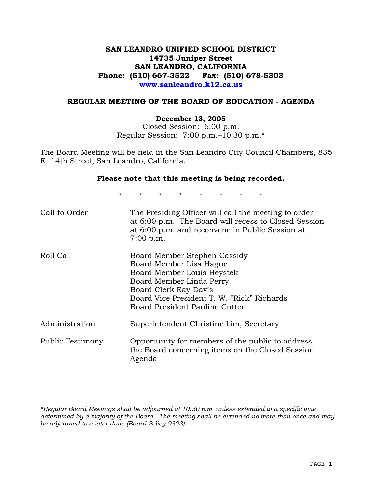# **SAN LEANDRO UNIFIED SCHOOL DISTRICT 14735 Juniper Street SAN LEANDRO, CALIFORNIA Phone: (510) 667-3522 Fax: (510) 678-5303 www.sanleandro.k12.ca.us**

## **REGULAR MEETING OF THE BOARD OF EDUCATION - AGENDA**

#### **December 13, 2005**

Closed Session: 6:00 p.m. Regular Session: 7:00 p.m.–10:30 p.m.\*

The Board Meeting will be held in the San Leandro City Council Chambers, 835 E. 14th Street, San Leandro, California.

#### **Please note that this meeting is being recorded.**

\* \* \* \* \* \* \* \* Call to Order The Presiding Officer will call the meeting to order at 6:00 p.m. The Board will recess to Closed Session at 6:00 p.m. and reconvene in Public Session at 7:00 p.m. Roll Call Board Member Stephen Cassidy Board Member Lisa Hague Board Member Louis Heystek Board Member Linda Perry Board Clerk Ray Davis Board Vice President T. W. "Rick" Richards Board President Pauline Cutter Administration Superintendent Christine Lim, Secretary Public Testimony Opportunity for members of the public to address the Board concerning items on the Closed Session Agenda

*\*Regular Board Meetings shall be adjourned at 10:30 p.m. unless extended to a specific time determined by a majority of the Board. The meeting shall be extended no more than once and may be adjourned to a later date. (Board Policy 9323)*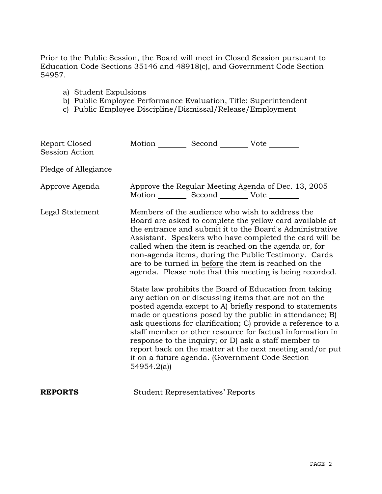Prior to the Public Session, the Board will meet in Closed Session pursuant to Education Code Sections 35146 and 48918(c), and Government Code Section 54957.

- a) Student Expulsions
- b) Public Employee Performance Evaluation, Title: Superintendent
- c) Public Employee Discipline/Dismissal/Release/Employment

| Report Closed<br><b>Session Action</b> | Motion __________ Second __________ Vote ________ |                                         |                                                                                                                                                                                                                                                                                                                                                                                                                                                                                                                                                                                                                                                                                                                                                                                                                                                                                                                                                                                                                        |
|----------------------------------------|---------------------------------------------------|-----------------------------------------|------------------------------------------------------------------------------------------------------------------------------------------------------------------------------------------------------------------------------------------------------------------------------------------------------------------------------------------------------------------------------------------------------------------------------------------------------------------------------------------------------------------------------------------------------------------------------------------------------------------------------------------------------------------------------------------------------------------------------------------------------------------------------------------------------------------------------------------------------------------------------------------------------------------------------------------------------------------------------------------------------------------------|
| Pledge of Allegiance                   |                                                   |                                         |                                                                                                                                                                                                                                                                                                                                                                                                                                                                                                                                                                                                                                                                                                                                                                                                                                                                                                                                                                                                                        |
| Approve Agenda                         | Motion __________ Second __________ Vote ________ |                                         | Approve the Regular Meeting Agenda of Dec. 13, 2005                                                                                                                                                                                                                                                                                                                                                                                                                                                                                                                                                                                                                                                                                                                                                                                                                                                                                                                                                                    |
| Legal Statement                        | 54954.2(a)                                        |                                         | Members of the audience who wish to address the<br>Board are asked to complete the yellow card available at<br>the entrance and submit it to the Board's Administrative<br>Assistant. Speakers who have completed the card will be<br>called when the item is reached on the agenda or, for<br>non-agenda items, during the Public Testimony. Cards<br>are to be turned in before the item is reached on the<br>agenda. Please note that this meeting is being recorded.<br>State law prohibits the Board of Education from taking<br>any action on or discussing items that are not on the<br>posted agenda except to A) briefly respond to statements<br>made or questions posed by the public in attendance; B)<br>ask questions for clarification; C) provide a reference to a<br>staff member or other resource for factual information in<br>response to the inquiry; or D) ask a staff member to<br>report back on the matter at the next meeting and/or put<br>it on a future agenda. (Government Code Section |
| <b>REPORTS</b>                         |                                                   | <b>Student Representatives' Reports</b> |                                                                                                                                                                                                                                                                                                                                                                                                                                                                                                                                                                                                                                                                                                                                                                                                                                                                                                                                                                                                                        |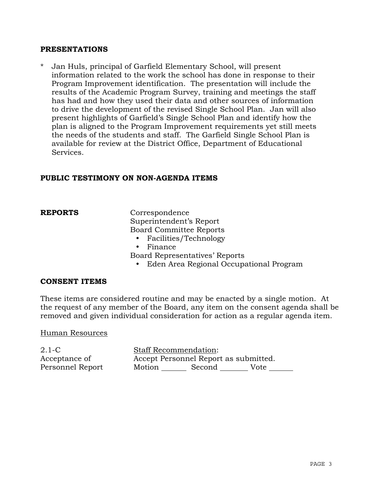## **PRESENTATIONS**

\* Jan Huls, principal of Garfield Elementary School, will present information related to the work the school has done in response to their Program Improvement identification. The presentation will include the results of the Academic Program Survey, training and meetings the staff has had and how they used their data and other sources of information to drive the development of the revised Single School Plan. Jan will also present highlights of Garfield's Single School Plan and identify how the plan is aligned to the Program Improvement requirements yet still meets the needs of the students and staff. The Garfield Single School Plan is available for review at the District Office, Department of Educational Services.

## **PUBLIC TESTIMONY ON NON-AGENDA ITEMS**

**REPORTS** Correspondence Superintendent's Report Board Committee Reports

- Facilities/Technology
- Finance
- Board Representatives' Reports
	- Eden Area Regional Occupational Program

## **CONSENT ITEMS**

These items are considered routine and may be enacted by a single motion. At the request of any member of the Board, any item on the consent agenda shall be removed and given individual consideration for action as a regular agenda item.

#### Human Resources

2.1-C Acceptance of Personnel Report Staff Recommendation: Accept Personnel Report as submitted. Motion Second Vote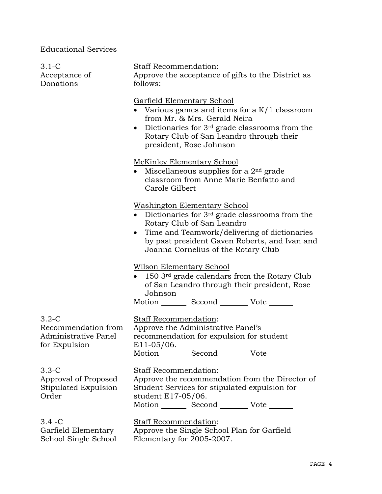# Educational Services

| $3.1-C$<br>Acceptance of<br>Donations                    | <b>Staff Recommendation:</b><br>Approve the acceptance of gifts to the District as<br>follows:                                                                                                                                                                                                                                                                                                                                                                                                                                                                                                                                                                                               |                                                                                                                                                                                                    |  |                                                                                                                                                                                               |
|----------------------------------------------------------|----------------------------------------------------------------------------------------------------------------------------------------------------------------------------------------------------------------------------------------------------------------------------------------------------------------------------------------------------------------------------------------------------------------------------------------------------------------------------------------------------------------------------------------------------------------------------------------------------------------------------------------------------------------------------------------------|----------------------------------------------------------------------------------------------------------------------------------------------------------------------------------------------------|--|-----------------------------------------------------------------------------------------------------------------------------------------------------------------------------------------------|
|                                                          | <b>Garfield Elementary School</b><br>• Various games and items for a $K/1$ classroom<br>from Mr. & Mrs. Gerald Neira<br>Dictionaries for $3rd$ grade classrooms from the<br>$\bullet$<br>Rotary Club of San Leandro through their<br>president, Rose Johnson<br><b>McKinley Elementary School</b><br>Miscellaneous supplies for a $2nd$ grade<br>classroom from Anne Marie Benfatto and<br>Carole Gilbert<br><b>Washington Elementary School</b><br>• Dictionaries for $3^{rd}$ grade classrooms from the<br>Rotary Club of San Leandro<br>Time and Teamwork/delivering of dictionaries<br>$\bullet$<br>by past president Gaven Roberts, and Ivan and<br>Joanna Cornelius of the Rotary Club |                                                                                                                                                                                                    |  |                                                                                                                                                                                               |
|                                                          |                                                                                                                                                                                                                                                                                                                                                                                                                                                                                                                                                                                                                                                                                              |                                                                                                                                                                                                    |  | <b>Wilson Elementary School</b><br>150 3rd grade calendars from the Rotary Club<br>of San Leandro through their president, Rose<br>Johnson<br>Motion _________ Second __________ Vote _______ |
|                                                          |                                                                                                                                                                                                                                                                                                                                                                                                                                                                                                                                                                                                                                                                                              |                                                                                                                                                                                                    |  | $3.2-C$<br>Recommendation from<br><b>Administrative Panel</b><br>for Expulsion                                                                                                                |
|                                                          | $3.3-C$<br>Approval of Proposed<br>Stipulated Expulsion<br>Order                                                                                                                                                                                                                                                                                                                                                                                                                                                                                                                                                                                                                             | Staff Recommendation:<br>Approve the recommendation from the Director of<br>Student Services for stipulated expulsion for<br>student E17-05/06.<br>Motion _________ Second __________ Vote _______ |  |                                                                                                                                                                                               |
| $3.4 - C$<br>Garfield Elementary<br>School Single School | Staff Recommendation:<br>Approve the Single School Plan for Garfield<br>Elementary for 2005-2007.                                                                                                                                                                                                                                                                                                                                                                                                                                                                                                                                                                                            |                                                                                                                                                                                                    |  |                                                                                                                                                                                               |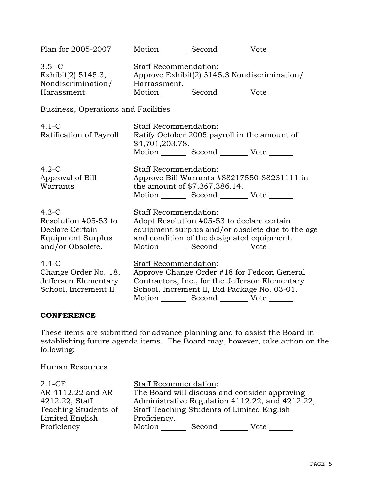| Plan for 2005-2007                                                                          |                                                        | Motion Second Vote ______                                                                                                                                     |                                                  |  |
|---------------------------------------------------------------------------------------------|--------------------------------------------------------|---------------------------------------------------------------------------------------------------------------------------------------------------------------|--------------------------------------------------|--|
| $3.5 - C$<br>Exhibit(2) $5145.3$ ,<br>Nondiscrimination/<br>Harassment                      | Staff Recommendation:<br>Harrassment.                  | Approve Exhibit(2) 5145.3 Nondiscrimination/<br>Motion _________ Second __________ Vote _______                                                               |                                                  |  |
| Business, Operations and Facilities                                                         |                                                        |                                                                                                                                                               |                                                  |  |
| $4.1-C$<br>Ratification of Payroll                                                          | <b>Staff Recommendation:</b><br>\$4,701,203.78.        | Ratify October 2005 payroll in the amount of<br>Motion _________ Second __________ Vote _______                                                               |                                                  |  |
| $4.2-C$<br>Approval of Bill<br>Warrants                                                     | Staff Recommendation:<br>the amount of \$7,367,386.14. | Motion _________ Second __________ Vote _______                                                                                                               | Approve Bill Warrants #88217550-88231111 in      |  |
| $4.3-C$<br>Resolution #05-53 to<br>Declare Certain<br>Equipment Surplus<br>and/or Obsolete. | Staff Recommendation:                                  | Adopt Resolution #05-53 to declare certain<br>and condition of the designated equipment.<br>Motion _________ Second __________ Vote _______                   | equipment surplus and/or obsolete due to the age |  |
| $4.4-C$<br>Change Order No. 18,<br>Jefferson Elementary<br>School, Increment II             | Staff Recommendation:<br>Motion                        | Approve Change Order #18 for Fedcon General<br>Contractors, Inc., for the Jefferson Elementary<br>School, Increment II, Bid Package No. 03-01.<br>Second Vote |                                                  |  |

## **CONFERENCE**

These items are submitted for advance planning and to assist the Board in establishing future agenda items. The Board may, however, take action on the following:

# Human Resources

| $2.1-CF$             | <b>Staff Recommendation:</b>                    |  |  |  |
|----------------------|-------------------------------------------------|--|--|--|
| AR 4112.22 and AR    | The Board will discuss and consider approving   |  |  |  |
| 4212.22, Staff       | Administrative Regulation 4112.22, and 4212.22, |  |  |  |
| Teaching Students of | Staff Teaching Students of Limited English      |  |  |  |
| Limited English      | Proficiency.                                    |  |  |  |
| Proficiency          | Motion<br>Second<br>Vote                        |  |  |  |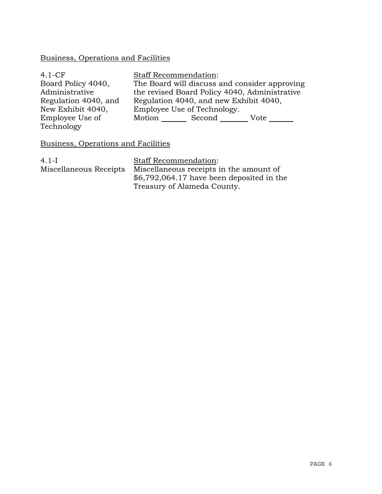# Business, Operations and Facilities

| $4.1-CF$             | <b>Staff Recommendation:</b>                  |  |  |
|----------------------|-----------------------------------------------|--|--|
| Board Policy 4040,   | The Board will discuss and consider approving |  |  |
| Administrative       | the revised Board Policy 4040, Administrative |  |  |
| Regulation 4040, and | Regulation 4040, and new Exhibit 4040,        |  |  |
| New Exhibit 4040,    | Employee Use of Technology.                   |  |  |
| Employee Use of      | Motion<br>Second<br>Vote                      |  |  |
| Technology           |                                               |  |  |

## Business, Operations and Facilities

4.1-I Miscellaneous Receipts Staff Recommendation: Miscellaneous receipts in the amount of \$6,792,064.17 have been deposited in the Treasury of Alameda County.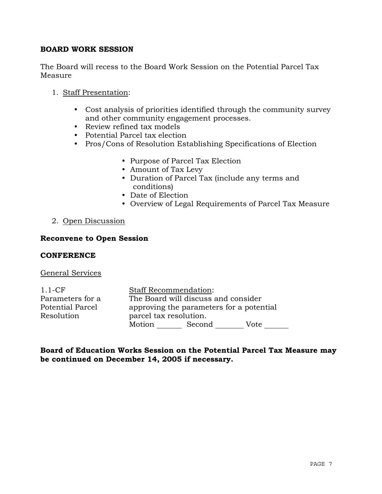## **BOARD WORK SESSION**

The Board will recess to the Board Work Session on the Potential Parcel Tax Measure

## 1. Staff Presentation:

- Cost analysis of priorities identified through the community survey and other community engagement processes.
- Review refined tax models
- Potential Parcel tax election
- Pros/Cons of Resolution Establishing Specifications of Election
	- Purpose of Parcel Tax Election
	- y Amount of Tax Levy
	- Duration of Parcel Tax (include any terms and conditions)
	- Date of Election
	- Overview of Legal Requirements of Parcel Tax Measure

## 2. Open Discussion

## **Reconvene to Open Session**

#### **CONFERENCE**

#### General Services

| $1.1$ -CF        |                                          | <b>Staff Recommendation:</b> |      |  |
|------------------|------------------------------------------|------------------------------|------|--|
| Parameters for a | The Board will discuss and consider      |                              |      |  |
| Potential Parcel | approving the parameters for a potential |                              |      |  |
| Resolution       | parcel tax resolution.                   |                              |      |  |
|                  | Motion                                   | Second                       | Vote |  |

**Board of Education Works Session on the Potential Parcel Tax Measure may be continued on December 14, 2005 if necessary.**